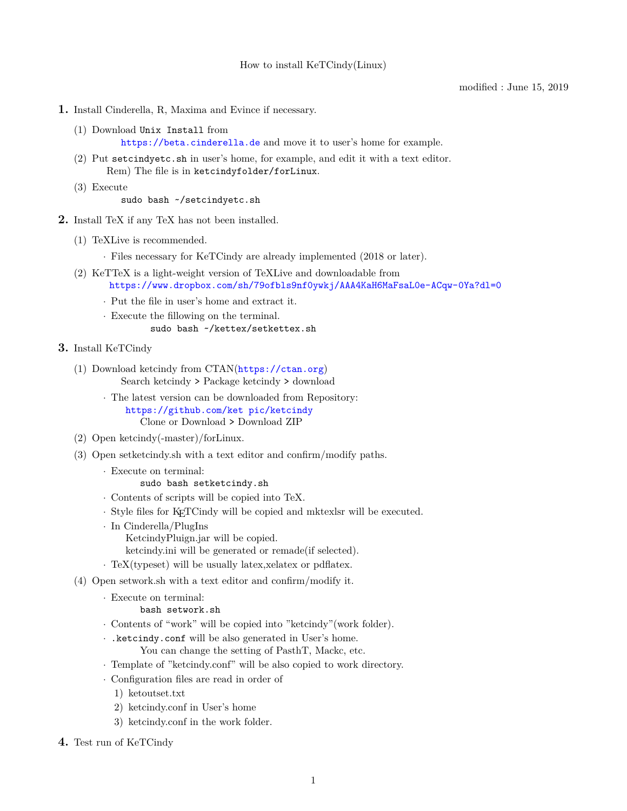## modified : June 15, 2019

- **1.** Install Cinderella, R, Maxima and Evince if necessary.
	- (1) Download Unix Install from <https://beta.cinderella.de> and move it to user's home for example.
	- (2) Put setcindyetc.sh in user's home, for example, and edit it with a text editor. Rem) The file is in ketcindyfolder/forLinux.
	- (3) Execute

sudo bash ~/setcindyetc.sh

- **2.** Install TeX if any TeX has not been installed.
	- (1) TeXLive is recommended.

*·* Files necessary for KeTCindy are already implemented (2018 or later).

- (2) KeTTeX is a light-weight version of TeXLive and downloadable from <https://www.dropbox.com/sh/79ofbls9nf0ywkj/AAA4KaH6MaFsaL0e-ACqw-0Ya?dl=0>
	- *·* Put the file in user's home and extract it.
	- *·* Execute the fillowing on the terminal.

sudo bash ~/kettex/setkettex.sh

- **3.** Install KeTCindy
	- (1) Download ketcindy from CTAN(<https://ctan.org>) Search ketcindy > Package ketcindy > download
		- *·* The latest version can be downloaded from Repository: [https://github.com/ket pic/ketcindy](https://github.com/ket­pic/ketcindy) Clone or Download > Download ZIP
	- (2) Open ketcindy(-master)/forLinux.
	- (3) Open setketcindy.sh with a text editor and confirm/modify paths.
		- *·* Execute on terminal:
			- sudo bash setketcindy.sh
		- *·* Contents of scripts will be copied into TeX.
		- *·* Style files for KETCindy will be copied and mktexlsr will be executed.
		- *·* In Cinderella/PlugIns KetcindyPluign.jar will be copied.
			- ketcindy.ini will be generated or remade(if selected).
		- *·* TeX(typeset) will be usually latex,xelatex or pdflatex.
	- (4) Open setwork.sh with a text editor and confirm/modify it.
		- *·* Execute on terminal:

bash setwork.sh

- *·* Contents of "work" will be copied into "ketcindy"(work folder).
- *·* .ketcindy.conf will be also generated in User's home. You can change the setting of PasthT, Mackc, etc.
- *·* Template of "ketcindy.conf" will be also copied to work directory.
- *·* Configuration files are read in order of
	- 1) ketoutset.txt
	- 2) ketcindy.conf in User's home
	- 3) ketcindy.conf in the work folder.
- **4.** Test run of KeTCindy